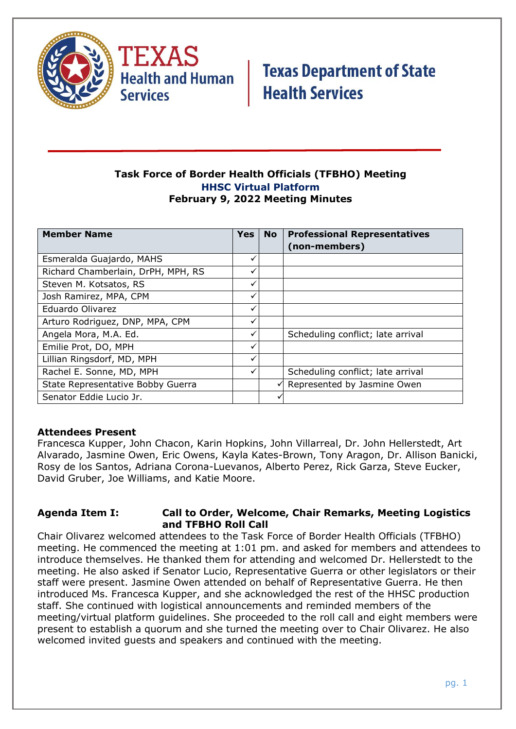



#### **Task Force of Border Health Officials (TFBHO) Meeting HHSC Virtual Platform February 9, 2022 Meeting Minutes**

| <b>Member Name</b>                 | <b>Yes</b> | <b>No</b>    | <b>Professional Representatives</b><br>(non-members) |
|------------------------------------|------------|--------------|------------------------------------------------------|
| Esmeralda Guajardo, MAHS           |            |              |                                                      |
| Richard Chamberlain, DrPH, MPH, RS | ✓          |              |                                                      |
| Steven M. Kotsatos, RS             | ✓          |              |                                                      |
| Josh Ramirez, MPA, CPM             | ✓          |              |                                                      |
| Eduardo Olivarez                   | ✓          |              |                                                      |
| Arturo Rodriguez, DNP, MPA, CPM    |            |              |                                                      |
| Angela Mora, M.A. Ed.              |            |              | Scheduling conflict; late arrival                    |
| Emilie Prot, DO, MPH               | ✓          |              |                                                      |
| Lillian Ringsdorf, MD, MPH         |            |              |                                                      |
| Rachel E. Sonne, MD, MPH           |            |              | Scheduling conflict; late arrival                    |
| State Representative Bobby Guerra  |            | $\checkmark$ | Represented by Jasmine Owen                          |
| Senator Eddie Lucio Jr.            |            |              |                                                      |

### **Attendees Present**

Francesca Kupper, John Chacon, Karin Hopkins, John Villarreal, Dr. John Hellerstedt, Art Alvarado, Jasmine Owen, Eric Owens, Kayla Kates-Brown, Tony Aragon, Dr. Allison Banicki, Rosy de los Santos, Adriana Corona-Luevanos, Alberto Perez, Rick Garza, Steve Eucker, David Gruber, Joe Williams, and Katie Moore.

#### **Agenda Item I: Call to Order, Welcome, Chair Remarks, Meeting Logistics and TFBHO Roll Call**

Chair Olivarez welcomed attendees to the Task Force of Border Health Officials (TFBHO) meeting. He commenced the meeting at 1:01 pm. and asked for members and attendees to introduce themselves. He thanked them for attending and welcomed Dr. Hellerstedt to the meeting. He also asked if Senator Lucio, Representative Guerra or other legislators or their staff were present. Jasmine Owen attended on behalf of Representative Guerra. He then introduced Ms. Francesca Kupper, and she acknowledged the rest of the HHSC production staff. She continued with logistical announcements and reminded members of the meeting/virtual platform guidelines. She proceeded to the roll call and eight members were present to establish a quorum and she turned the meeting over to Chair Olivarez. He also welcomed invited guests and speakers and continued with the meeting.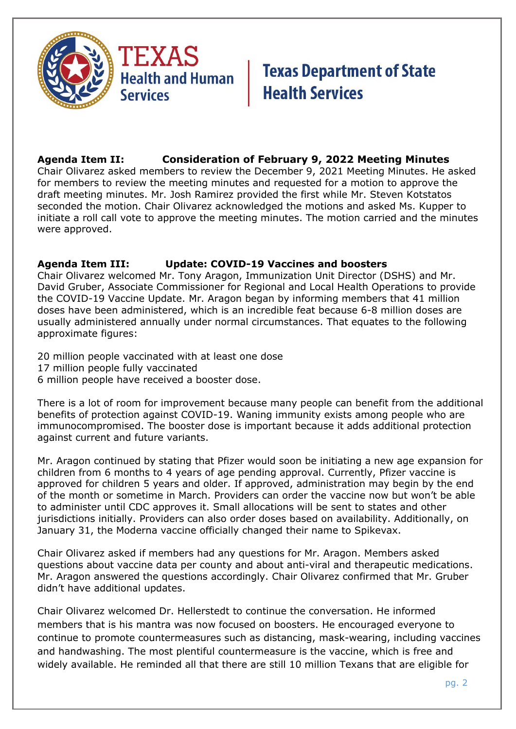

## **Agenda Item II: Consideration of February 9, 2022 Meeting Minutes**

Chair Olivarez asked members to review the December 9, 2021 Meeting Minutes. He asked for members to review the meeting minutes and requested for a motion to approve the draft meeting minutes. Mr. Josh Ramirez provided the first while Mr. Steven Kotstatos seconded the motion. Chair Olivarez acknowledged the motions and asked Ms. Kupper to initiate a roll call vote to approve the meeting minutes. The motion carried and the minutes were approved.

### **Agenda Item III: Update: COVID-19 Vaccines and boosters**

Chair Olivarez welcomed Mr. Tony Aragon, Immunization Unit Director (DSHS) and Mr. David Gruber, Associate Commissioner for Regional and Local Health Operations to provide the COVID-19 Vaccine Update. Mr. Aragon began by informing members that 41 million doses have been administered, which is an incredible feat because 6-8 million doses are usually administered annually under normal circumstances. That equates to the following approximate figures:

20 million people vaccinated with at least one dose

- 17 million people fully vaccinated
- 6 million people have received a booster dose.

There is a lot of room for improvement because many people can benefit from the additional benefits of protection against COVID-19. Waning immunity exists among people who are immunocompromised. The booster dose is important because it adds additional protection against current and future variants.

Mr. Aragon continued by stating that Pfizer would soon be initiating a new age expansion for children from 6 months to 4 years of age pending approval. Currently, Pfizer vaccine is approved for children 5 years and older. If approved, administration may begin by the end of the month or sometime in March. Providers can order the vaccine now but won't be able to administer until CDC approves it. Small allocations will be sent to states and other jurisdictions initially. Providers can also order doses based on availability. Additionally, on January 31, the Moderna vaccine officially changed their name to Spikevax.

Chair Olivarez asked if members had any questions for Mr. Aragon. Members asked questions about vaccine data per county and about anti-viral and therapeutic medications. Mr. Aragon answered the questions accordingly. Chair Olivarez confirmed that Mr. Gruber didn't have additional updates.

Chair Olivarez welcomed Dr. Hellerstedt to continue the conversation. He informed members that is his mantra was now focused on boosters. He encouraged everyone to continue to promote countermeasures such as distancing, mask-wearing, including vaccines and handwashing. The most plentiful countermeasure is the vaccine, which is free and widely available. He reminded all that there are still 10 million Texans that are eligible for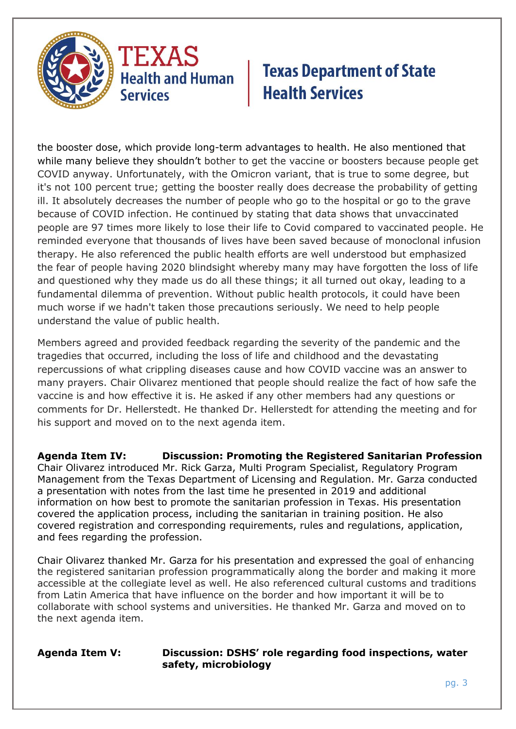

the booster dose, which provide long-term advantages to health. He also mentioned that while many believe they shouldn't bother to get the vaccine or boosters because people get COVID anyway. Unfortunately, with the Omicron variant, that is true to some degree, but it's not 100 percent true; getting the booster really does decrease the probability of getting ill. It absolutely decreases the number of people who go to the hospital or go to the grave because of COVID infection. He continued by stating that data shows that unvaccinated people are 97 times more likely to lose their life to Covid compared to vaccinated people. He reminded everyone that thousands of lives have been saved because of monoclonal infusion therapy. He also referenced the public health efforts are well understood but emphasized the fear of people having 2020 blindsight whereby many may have forgotten the loss of life and questioned why they made us do all these things; it all turned out okay, leading to a fundamental dilemma of prevention. Without public health protocols, it could have been much worse if we hadn't taken those precautions seriously. We need to help people understand the value of public health.

Members agreed and provided feedback regarding the severity of the pandemic and the tragedies that occurred, including the loss of life and childhood and the devastating repercussions of what crippling diseases cause and how COVID vaccine was an answer to many prayers. Chair Olivarez mentioned that people should realize the fact of how safe the vaccine is and how effective it is. He asked if any other members had any questions or comments for Dr. Hellerstedt. He thanked Dr. Hellerstedt for attending the meeting and for his support and moved on to the next agenda item.

**Agenda Item IV: Discussion: Promoting the Registered Sanitarian Profession** Chair Olivarez introduced Mr. Rick Garza, Multi Program Specialist, Regulatory Program Management from the Texas Department of Licensing and Regulation. Mr. Garza conducted a presentation with notes from the last time he presented in 2019 and additional information on how best to promote the sanitarian profession in Texas. His presentation covered the application process, including the sanitarian in training position. He also covered registration and corresponding requirements, rules and regulations, application, and fees regarding the profession.

Chair Olivarez thanked Mr. Garza for his presentation and expressed the goal of enhancing the registered sanitarian profession programmatically along the border and making it more accessible at the collegiate level as well. He also referenced cultural customs and traditions from Latin America that have influence on the border and how important it will be to collaborate with school systems and universities. He thanked Mr. Garza and moved on to the next agenda item.

#### **Agenda Item V: Discussion: DSHS' role regarding food inspections, water safety, microbiology**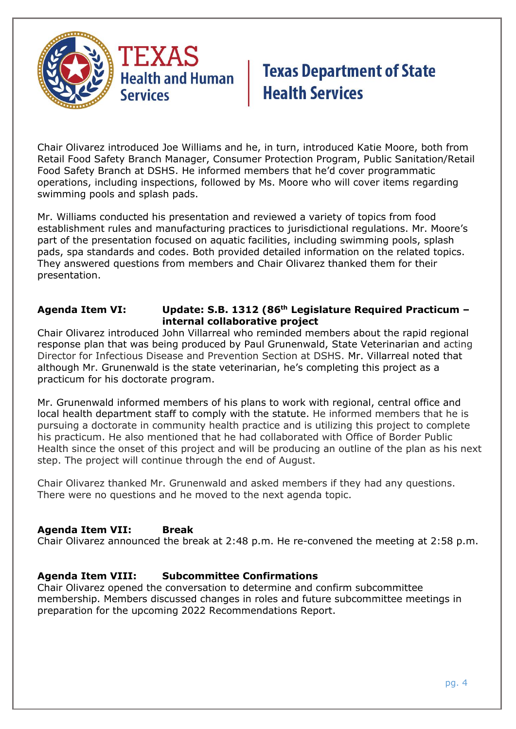

Chair Olivarez introduced Joe Williams and he, in turn, introduced Katie Moore, both from Retail Food Safety Branch Manager, Consumer Protection Program, Public Sanitation/Retail Food Safety Branch at DSHS. He informed members that he'd cover programmatic operations, including inspections, followed by Ms. Moore who will cover items regarding swimming pools and splash pads.

Mr. Williams conducted his presentation and reviewed a variety of topics from food establishment rules and manufacturing practices to jurisdictional regulations. Mr. Moore's part of the presentation focused on aquatic facilities, including swimming pools, splash pads, spa standards and codes. Both provided detailed information on the related topics. They answered questions from members and Chair Olivarez thanked them for their presentation.

#### **Agenda Item VI: Update: S.B. 1312 (86th Legislature Required Practicum – internal collaborative project**

Chair Olivarez introduced John Villarreal who reminded members about the rapid regional response plan that was being produced by Paul Grunenwald, State Veterinarian and acting Director for Infectious Disease and Prevention Section at DSHS. Mr. Villarreal noted that although Mr. Grunenwald is the state veterinarian, he's completing this project as a practicum for his doctorate program.

Mr. Grunenwald informed members of his plans to work with regional, central office and local health department staff to comply with the statute. He informed members that he is pursuing a doctorate in community health practice and is utilizing this project to complete his practicum. He also mentioned that he had collaborated with Office of Border Public Health since the onset of this project and will be producing an outline of the plan as his next step. The project will continue through the end of August.

Chair Olivarez thanked Mr. Grunenwald and asked members if they had any questions. There were no questions and he moved to the next agenda topic.

### **Agenda Item VII: Break**

Chair Olivarez announced the break at 2:48 p.m. He re-convened the meeting at 2:58 p.m.

### **Agenda Item VIII: Subcommittee Confirmations**

Chair Olivarez opened the conversation to determine and confirm subcommittee membership. Members discussed changes in roles and future subcommittee meetings in preparation for the upcoming 2022 Recommendations Report.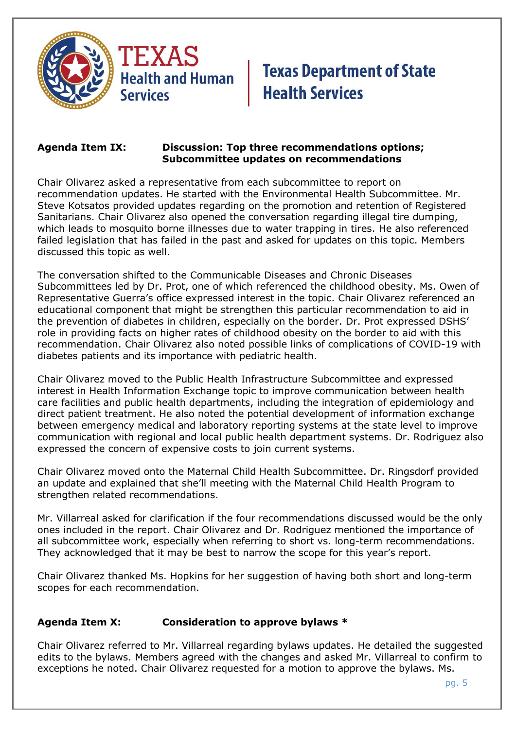

#### **Agenda Item IX: Discussion: Top three recommendations options; Subcommittee updates on recommendations**

Chair Olivarez asked a representative from each subcommittee to report on recommendation updates. He started with the Environmental Health Subcommittee. Mr. Steve Kotsatos provided updates regarding on the promotion and retention of Registered Sanitarians. Chair Olivarez also opened the conversation regarding illegal tire dumping, which leads to mosquito borne illnesses due to water trapping in tires. He also referenced failed legislation that has failed in the past and asked for updates on this topic. Members discussed this topic as well.

The conversation shifted to the Communicable Diseases and Chronic Diseases Subcommittees led by Dr. Prot, one of which referenced the childhood obesity. Ms. Owen of Representative Guerra's office expressed interest in the topic. Chair Olivarez referenced an educational component that might be strengthen this particular recommendation to aid in the prevention of diabetes in children, especially on the border. Dr. Prot expressed DSHS' role in providing facts on higher rates of childhood obesity on the border to aid with this recommendation. Chair Olivarez also noted possible links of complications of COVID-19 with diabetes patients and its importance with pediatric health.

Chair Olivarez moved to the Public Health Infrastructure Subcommittee and expressed interest in Health Information Exchange topic to improve communication between health care facilities and public health departments, including the integration of epidemiology and direct patient treatment. He also noted the potential development of information exchange between emergency medical and laboratory reporting systems at the state level to improve communication with regional and local public health department systems. Dr. Rodriguez also expressed the concern of expensive costs to join current systems.

Chair Olivarez moved onto the Maternal Child Health Subcommittee. Dr. Ringsdorf provided an update and explained that she'll meeting with the Maternal Child Health Program to strengthen related recommendations.

Mr. Villarreal asked for clarification if the four recommendations discussed would be the only ones included in the report. Chair Olivarez and Dr. Rodriguez mentioned the importance of all subcommittee work, especially when referring to short vs. long-term recommendations. They acknowledged that it may be best to narrow the scope for this year's report.

Chair Olivarez thanked Ms. Hopkins for her suggestion of having both short and long-term scopes for each recommendation.

### **Agenda Item X: Consideration to approve bylaws \***

Chair Olivarez referred to Mr. Villarreal regarding bylaws updates. He detailed the suggested edits to the bylaws. Members agreed with the changes and asked Mr. Villarreal to confirm to exceptions he noted. Chair Olivarez requested for a motion to approve the bylaws. Ms.